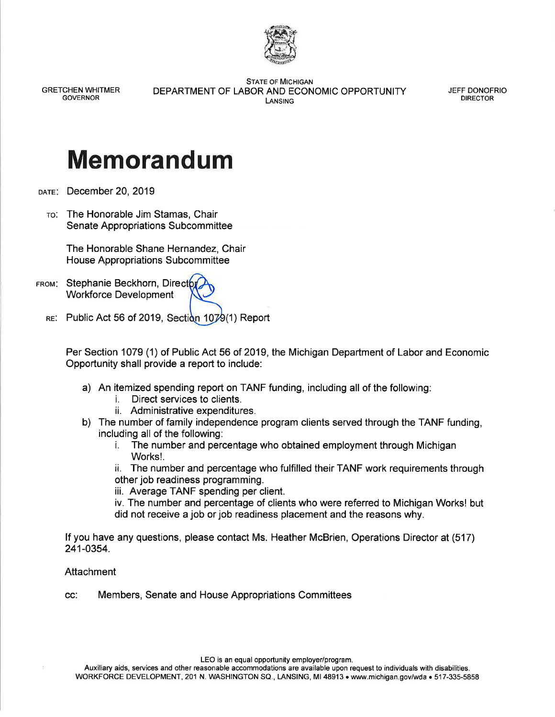

**GRETCHEN WHITMER GOVERNOR** 

**STATE OF MICHIGAN** DEPARTMENT OF LABOR AND ECONOMIC OPPORTUNITY LANSING

JEFF DONOFRIO **DIRECTOR** 

## **Memorandum**

DATE: December 20, 2019

TO: The Honorable Jim Stamas, Chair **Senate Appropriations Subcommittee** 

> The Honorable Shane Hernandez, Chair House Appropriations Subcommittee

- FROM: Stephanie Beckhorn, Directo **Workforce Development** 
	- RE: Public Act 56 of 2019, Section 1079(1) Report

Per Section 1079 (1) of Public Act 56 of 2019, the Michigan Department of Labor and Economic Opportunity shall provide a report to include:

- a) An itemized spending report on TANF funding, including all of the following:
	- Direct services to clients. j.
	- ii. Administrative expenditures.
- b) The number of family independence program clients served through the TANF funding. including all of the following:
	- The number and percentage who obtained employment through Michigan i. Works!

ii. The number and percentage who fulfilled their TANF work requirements through other job readiness programming.

iii. Average TANF spending per client.

iv. The number and percentage of clients who were referred to Michigan Works! but did not receive a job or job readiness placement and the reasons why.

If you have any questions, please contact Ms. Heather McBrien, Operations Director at (517) 241-0354.

## Attachment

Members, Senate and House Appropriations Committees CC:

LEO is an equal opportunity employer/program.